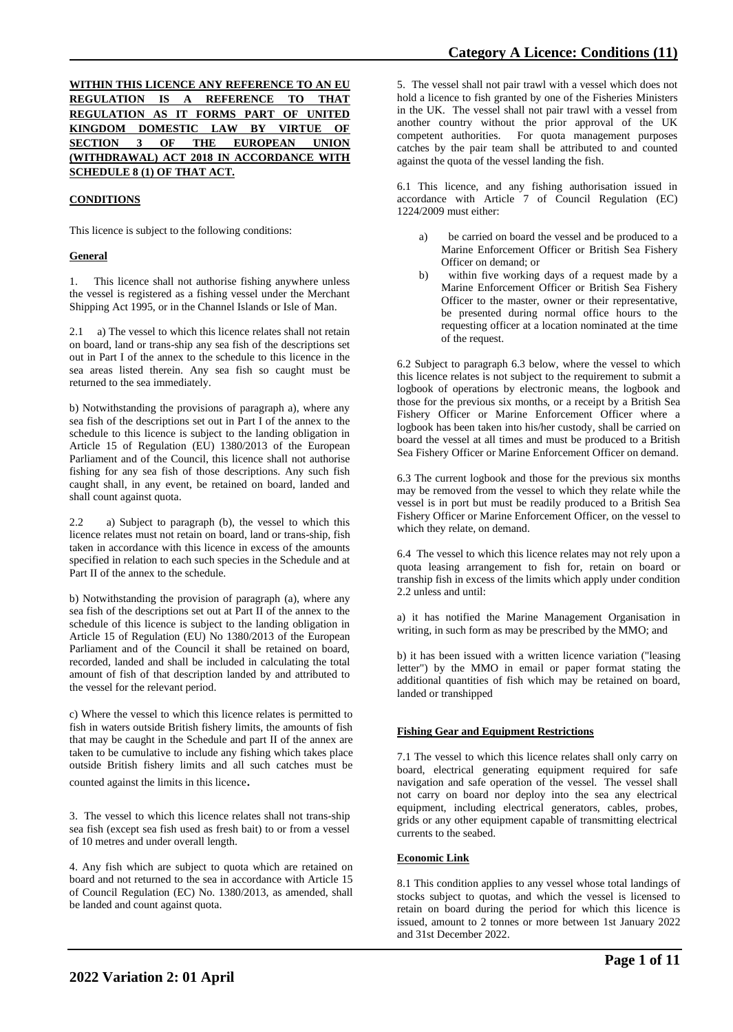# **WITHIN THIS LICENCE ANY REFERENCE TO AN EU REGULATION IS A REFERENCE TO THAT REGULATION AS IT FORMS PART OF UNITED KINGDOM DOMESTIC LAW BY VIRTUE OF SECTION 3 OF THE EUROPEAN (WITHDRAWAL) ACT 2018 IN ACCORDANCE WITH SCHEDULE 8 (1) OF THAT ACT.**

# **CONDITIONS**

This licence is subject to the following conditions:

### **General**

1. This licence shall not authorise fishing anywhere unless the vessel is registered as a fishing vessel under the Merchant Shipping Act 1995, or in the Channel Islands or Isle of Man.

2.1 a) The vessel to which this licence relates shall not retain on board, land or trans-ship any sea fish of the descriptions set out in Part I of the annex to the schedule to this licence in the sea areas listed therein. Any sea fish so caught must be returned to the sea immediately.

b) Notwithstanding the provisions of paragraph a), where any sea fish of the descriptions set out in Part I of the annex to the schedule to this licence is subject to the landing obligation in Article 15 of Regulation (EU) 1380/2013 of the European Parliament and of the Council, this licence shall not authorise fishing for any sea fish of those descriptions. Any such fish caught shall, in any event, be retained on board, landed and shall count against quota.

2.2 a) Subject to paragraph (b), the vessel to which this licence relates must not retain on board, land or trans-ship, fish taken in accordance with this licence in excess of the amounts specified in relation to each such species in the Schedule and at Part II of the annex to the schedule.

b) Notwithstanding the provision of paragraph (a), where any sea fish of the descriptions set out at Part II of the annex to the schedule of this licence is subject to the landing obligation in Article 15 of Regulation (EU) No 1380/2013 of the European Parliament and of the Council it shall be retained on board, recorded, landed and shall be included in calculating the total amount of fish of that description landed by and attributed to the vessel for the relevant period.

c) Where the vessel to which this licence relates is permitted to fish in waters outside British fishery limits, the amounts of fish that may be caught in the Schedule and part II of the annex are taken to be cumulative to include any fishing which takes place outside British fishery limits and all such catches must be counted against the limits in this licence.

3. The vessel to which this licence relates shall not trans-ship sea fish (except sea fish used as fresh bait) to or from a vessel of 10 metres and under overall length.

4. Any fish which are subject to quota which are retained on board and not returned to the sea in accordance with Article 15 of Council Regulation (EC) No. 1380/2013, as amended, shall be landed and count against quota.

5. The vessel shall not pair trawl with a vessel which does not hold a licence to fish granted by one of the Fisheries Ministers in the UK. The vessel shall not pair trawl with a vessel from another country without the prior approval of the UK competent authorities. For quota management purposes catches by the pair team shall be attributed to and counted against the quota of the vessel landing the fish.

6.1 This licence, and any fishing authorisation issued in accordance with Article 7 of Council Regulation (EC) 1224/2009 must either:

- a) be carried on board the vessel and be produced to a Marine Enforcement Officer or British Sea Fishery Officer on demand; or
- b) within five working days of a request made by a Marine Enforcement Officer or British Sea Fishery Officer to the master, owner or their representative, be presented during normal office hours to the requesting officer at a location nominated at the time of the request.

6.2 Subject to paragraph 6.3 below, where the vessel to which this licence relates is not subject to the requirement to submit a logbook of operations by electronic means, the logbook and those for the previous six months, or a receipt by a British Sea Fishery Officer or Marine Enforcement Officer where a logbook has been taken into his/her custody, shall be carried on board the vessel at all times and must be produced to a British Sea Fishery Officer or Marine Enforcement Officer on demand.

6.3 The current logbook and those for the previous six months may be removed from the vessel to which they relate while the vessel is in port but must be readily produced to a British Sea Fishery Officer or Marine Enforcement Officer, on the vessel to which they relate, on demand.

6.4 The vessel to which this licence relates may not rely upon a quota leasing arrangement to fish for, retain on board or tranship fish in excess of the limits which apply under condition 2.2 unless and until:

a) it has notified the Marine Management Organisation in writing, in such form as may be prescribed by the MMO; and

b) it has been issued with a written licence variation ("leasing letter") by the MMO in email or paper format stating the additional quantities of fish which may be retained on board, landed or transhipped

# **Fishing Gear and Equipment Restrictions**

7.1 The vessel to which this licence relates shall only carry on board, electrical generating equipment required for safe navigation and safe operation of the vessel. The vessel shall not carry on board nor deploy into the sea any electrical equipment, including electrical generators, cables, probes, grids or any other equipment capable of transmitting electrical currents to the seabed.

# **Economic Link**

8.1 This condition applies to any vessel whose total landings of stocks subject to quotas, and which the vessel is licensed to retain on board during the period for which this licence is issued, amount to 2 tonnes or more between 1st January 2022 and 31st December 2022.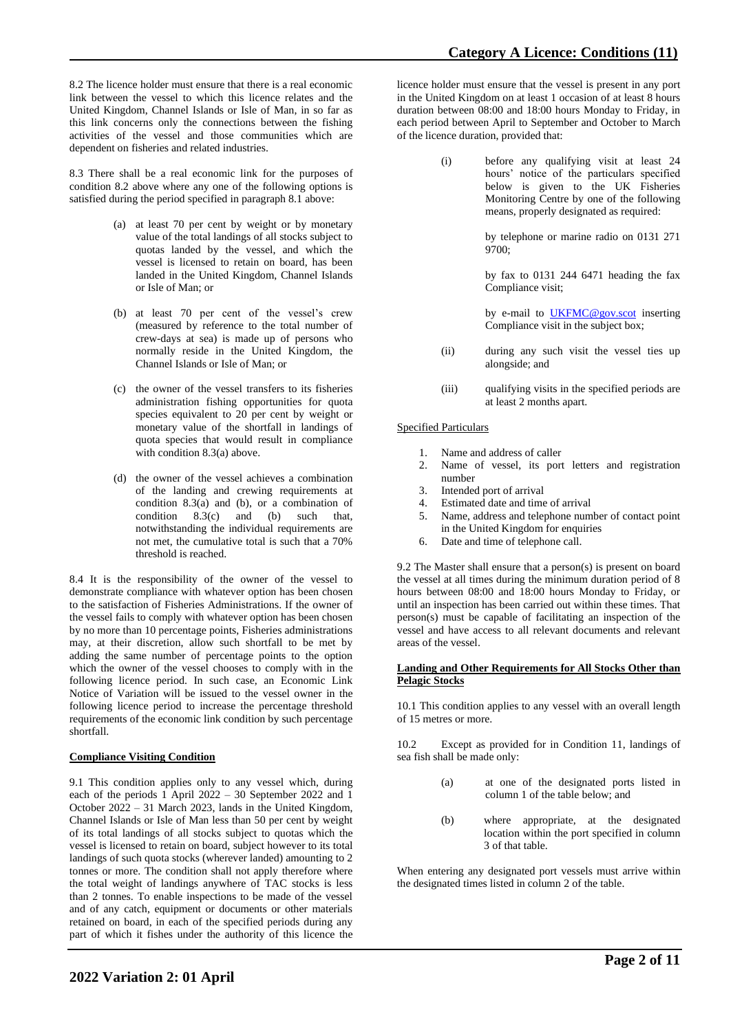8.2 The licence holder must ensure that there is a real economic link between the vessel to which this licence relates and the United Kingdom, Channel Islands or Isle of Man, in so far as this link concerns only the connections between the fishing activities of the vessel and those communities which are dependent on fisheries and related industries.

8.3 There shall be a real economic link for the purposes of condition 8.2 above where any one of the following options is satisfied during the period specified in paragraph 8.1 above:

- (a) at least 70 per cent by weight or by monetary value of the total landings of all stocks subject to quotas landed by the vessel, and which the vessel is licensed to retain on board, has been landed in the United Kingdom, Channel Islands or Isle of Man; or
- (b) at least 70 per cent of the vessel's crew (measured by reference to the total number of crew-days at sea) is made up of persons who normally reside in the United Kingdom, the Channel Islands or Isle of Man; or
- (c) the owner of the vessel transfers to its fisheries administration fishing opportunities for quota species equivalent to 20 per cent by weight or monetary value of the shortfall in landings of quota species that would result in compliance with condition 8.3(a) above.
- (d) the owner of the vessel achieves a combination of the landing and crewing requirements at condition 8.3(a) and (b), or a combination of condition 8.3(c) and (b) such that, notwithstanding the individual requirements are not met, the cumulative total is such that a 70% threshold is reached.

8.4 It is the responsibility of the owner of the vessel to demonstrate compliance with whatever option has been chosen to the satisfaction of Fisheries Administrations. If the owner of the vessel fails to comply with whatever option has been chosen by no more than 10 percentage points, Fisheries administrations may, at their discretion, allow such shortfall to be met by adding the same number of percentage points to the option which the owner of the vessel chooses to comply with in the following licence period. In such case, an Economic Link Notice of Variation will be issued to the vessel owner in the following licence period to increase the percentage threshold requirements of the economic link condition by such percentage shortfall.

# **Compliance Visiting Condition**

9.1 This condition applies only to any vessel which, during each of the periods 1 April 2022 – 30 September 2022 and 1 October 2022 – 31 March 2023, lands in the United Kingdom, Channel Islands or Isle of Man less than 50 per cent by weight of its total landings of all stocks subject to quotas which the vessel is licensed to retain on board, subject however to its total landings of such quota stocks (wherever landed) amounting to 2 tonnes or more. The condition shall not apply therefore where the total weight of landings anywhere of TAC stocks is less than 2 tonnes. To enable inspections to be made of the vessel and of any catch, equipment or documents or other materials retained on board, in each of the specified periods during any part of which it fishes under the authority of this licence the

licence holder must ensure that the vessel is present in any port in the United Kingdom on at least 1 occasion of at least 8 hours duration between 08:00 and 18:00 hours Monday to Friday, in each period between April to September and October to March of the licence duration, provided that:

> (i) before any qualifying visit at least 24 hours' notice of the particulars specified below is given to the UK Fisheries Monitoring Centre by one of the following means, properly designated as required:

> > by telephone or marine radio on 0131 271 9700;

> > by fax to 0131 244 6471 heading the fax Compliance visit;

> > by e-mail to [UKFMC@gov.scot](mailto:UKFMC@gov.scot) inserting Compliance visit in the subject box;

- (ii) during any such visit the vessel ties up alongside; and
- (iii) qualifying visits in the specified periods are at least 2 months apart.

### Specified Particulars

- 1. Name and address of caller
- 2. Name of vessel, its port letters and registration number
- 
- 3. Intended port of arrival Estimated date and time of arrival
- 5. Name, address and telephone number of contact point in the United Kingdom for enquiries
- 6. Date and time of telephone call.

9.2 The Master shall ensure that a person(s) is present on board the vessel at all times during the minimum duration period of 8 hours between 08:00 and 18:00 hours Monday to Friday, or until an inspection has been carried out within these times. That person(s) must be capable of facilitating an inspection of the vessel and have access to all relevant documents and relevant areas of the vessel.

#### **Landing and Other Requirements for All Stocks Other than Pelagic Stocks**

10.1 This condition applies to any vessel with an overall length of 15 metres or more.

10.2 Except as provided for in Condition 11, landings of sea fish shall be made only:

- (a) at one of the designated ports listed in column 1 of the table below; and
- (b) where appropriate, at the designated location within the port specified in column 3 of that table.

When entering any designated port vessels must arrive within the designated times listed in column 2 of the table.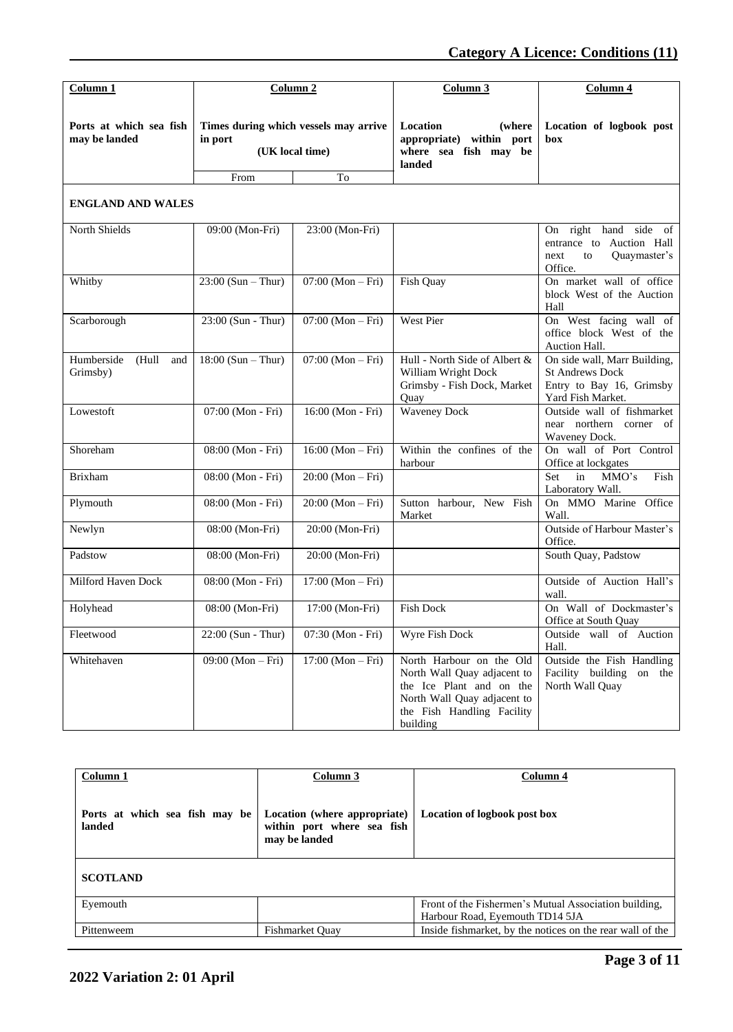| Column 1                                 |                      | Column <sub>2</sub>                                      | Column <sub>3</sub>                                                                                                                                          | Column 4                                                                                                |
|------------------------------------------|----------------------|----------------------------------------------------------|--------------------------------------------------------------------------------------------------------------------------------------------------------------|---------------------------------------------------------------------------------------------------------|
| Ports at which sea fish<br>may be landed | in port              | Times during which vessels may arrive<br>(UK local time) | Location<br>(where)<br>appropriate) within port<br>where sea fish may be<br>landed                                                                           | Location of logbook post<br>box                                                                         |
|                                          | From                 | To                                                       |                                                                                                                                                              |                                                                                                         |
| <b>ENGLAND AND WALES</b>                 |                      |                                                          |                                                                                                                                                              |                                                                                                         |
| North Shields                            | 09:00 (Mon-Fri)      | 23:00 (Mon-Fri)                                          |                                                                                                                                                              | On right hand<br>side of<br>entrance to Auction Hall<br>Quaymaster's<br>next<br>to<br>Office.           |
| Whitby                                   | $23:00$ (Sun – Thur) | $07:00 (Mon-Fri)$                                        | Fish Quay                                                                                                                                                    | On market wall of office<br>block West of the Auction<br>Hall                                           |
| Scarborough                              | 23:00 (Sun - Thur)   | $07:00 (Mon-Fri)$                                        | West Pier                                                                                                                                                    | On West facing wall of<br>office block West of the<br>Auction Hall.                                     |
| Humberside<br>(Hull<br>and<br>Grimsby)   | $18:00$ (Sun – Thur) | $07:00 (Mon-Fri)$                                        | Hull - North Side of Albert &<br>William Wright Dock<br>Grimsby - Fish Dock, Market<br>Quay                                                                  | On side wall, Marr Building,<br><b>St Andrews Dock</b><br>Entry to Bay 16, Grimsby<br>Yard Fish Market. |
| Lowestoft                                | 07:00 (Mon - Fri)    | 16:00 (Mon - Fri)                                        | <b>Waveney Dock</b>                                                                                                                                          | Outside wall of fishmarket<br>near northern corner of<br>Waveney Dock.                                  |
| Shoreham                                 | 08:00 (Mon - Fri)    | $16:00 (Mon-Fri)$                                        | Within the confines of the<br>harbour                                                                                                                        | On wall of Port Control<br>Office at lockgates                                                          |
| <b>Brixham</b>                           | 08:00 (Mon - Fri)    | $20:00 (Mon-Fri)$                                        |                                                                                                                                                              | Set<br>in<br>MMO's<br>Fish<br>Laboratory Wall.                                                          |
| Plymouth                                 | 08:00 (Mon - Fri)    | $20:00 (Mon-Fri)$                                        | Sutton harbour, New Fish<br>Market                                                                                                                           | On MMO Marine Office<br>Wall.                                                                           |
| Newlyn                                   | 08:00 (Mon-Fri)      | 20:00 (Mon-Fri)                                          |                                                                                                                                                              | Outside of Harbour Master's<br>Office.                                                                  |
| Padstow                                  | 08:00 (Mon-Fri)      | 20:00 (Mon-Fri)                                          |                                                                                                                                                              | South Quay, Padstow                                                                                     |
| Milford Haven Dock                       | 08:00 (Mon - Fri)    | $17:00 (Mon-Fri)$                                        |                                                                                                                                                              | Outside of Auction Hall's<br>wall.                                                                      |
| Holyhead                                 | 08:00 (Mon-Fri)      | 17:00 (Mon-Fri)                                          | <b>Fish Dock</b>                                                                                                                                             | On Wall of Dockmaster's<br>Office at South Quay                                                         |
| Fleetwood                                | 22:00 (Sun - Thur)   | 07:30 (Mon - Fri)                                        | Wyre Fish Dock                                                                                                                                               | Outside wall of Auction<br>Hall.                                                                        |
| Whitehaven                               | $09:00 (Mon-Fri)$    | $17:00 (Mon-Fri)$                                        | North Harbour on the Old<br>North Wall Quay adjacent to<br>the Ice Plant and on the<br>North Wall Quay adjacent to<br>the Fish Handling Facility<br>building | Outside the Fish Handling<br>Facility building<br>on the<br>North Wall Quay                             |

| Column 3                                                                    | Column 4                                                  |
|-----------------------------------------------------------------------------|-----------------------------------------------------------|
| Location (where appropriate)<br>within port where sea fish<br>may be landed | <b>Location of logbook post box</b>                       |
|                                                                             |                                                           |
|                                                                             | Front of the Fishermen's Mutual Association building,     |
|                                                                             | Harbour Road, Eyemouth TD14 5JA                           |
| <b>Fishmarket Ouay</b>                                                      | Inside fishmarket, by the notices on the rear wall of the |
|                                                                             |                                                           |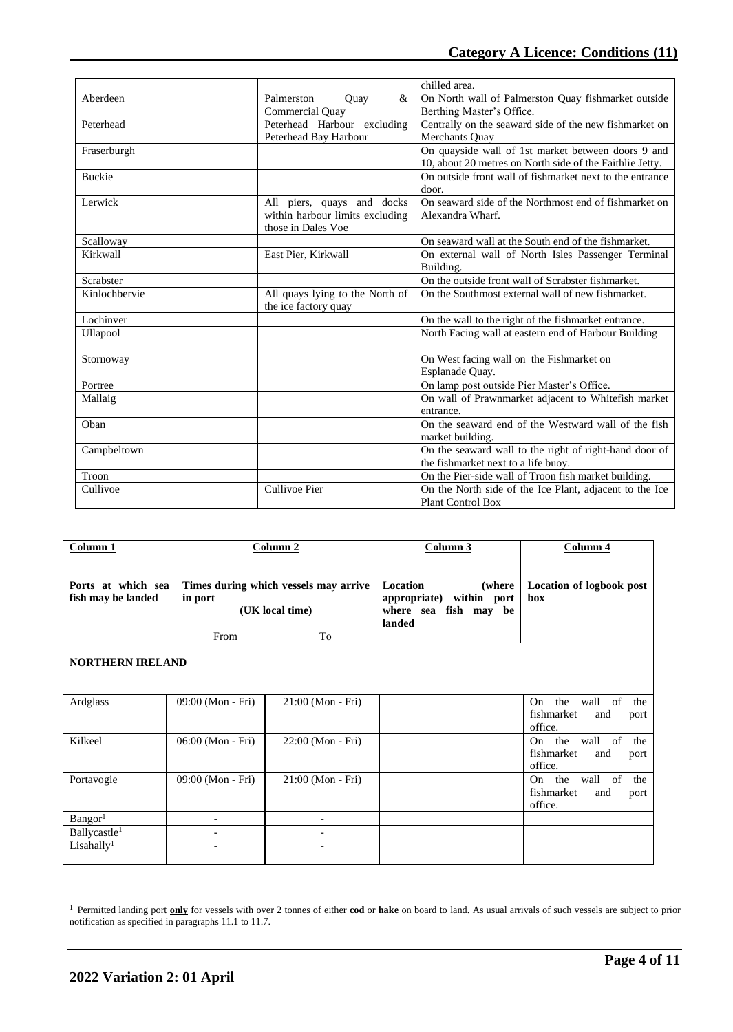|               |                                 | chilled area.                                            |  |
|---------------|---------------------------------|----------------------------------------------------------|--|
| Aberdeen      | $\&$<br>Palmerston<br>Ouay      | On North wall of Palmerston Quay fishmarket outside      |  |
|               | Commercial Quay                 | Berthing Master's Office.                                |  |
| Peterhead     | Peterhead Harbour excluding     | Centrally on the seaward side of the new fishmarket on   |  |
|               | Peterhead Bay Harbour           | Merchants Ouay                                           |  |
| Fraserburgh   |                                 | On quayside wall of 1st market between doors 9 and       |  |
|               |                                 | 10, about 20 metres on North side of the Faithlie Jetty. |  |
| <b>Buckie</b> |                                 | On outside front wall of fishmarket next to the entrance |  |
|               |                                 | door.                                                    |  |
| Lerwick       | All piers, quays and docks      | On seaward side of the Northmost end of fishmarket on    |  |
|               | within harbour limits excluding | Alexandra Wharf.                                         |  |
|               | those in Dales Voe              |                                                          |  |
| Scalloway     |                                 | On seaward wall at the South end of the fishmarket.      |  |
| Kirkwall      | East Pier, Kirkwall             | On external wall of North Isles Passenger Terminal       |  |
|               |                                 | Building.                                                |  |
| Scrabster     |                                 | On the outside front wall of Scrabster fishmarket.       |  |
| Kinlochbervie | All quays lying to the North of | On the Southmost external wall of new fishmarket.        |  |
|               | the ice factory quay            |                                                          |  |
| Lochinver     |                                 | On the wall to the right of the fishmarket entrance.     |  |
| Ullapool      |                                 | North Facing wall at eastern end of Harbour Building     |  |
|               |                                 |                                                          |  |
| Stornoway     |                                 | On West facing wall on the Fishmarket on                 |  |
|               |                                 | Esplanade Quay.                                          |  |
| Portree       |                                 | On lamp post outside Pier Master's Office.               |  |
| Mallaig       |                                 | On wall of Prawnmarket adjacent to Whitefish market      |  |
|               |                                 | entrance.                                                |  |
| Oban          |                                 | On the seaward end of the Westward wall of the fish      |  |
|               |                                 | market building.                                         |  |
| Campbeltown   |                                 | On the seaward wall to the right of right-hand door of   |  |
|               |                                 | the fishmarket next to a life buoy.                      |  |
| Troon         |                                 | On the Pier-side wall of Troon fish market building.     |  |
| Cullivoe      | <b>Cullivoe Pier</b>            | On the North side of the Ice Plant, adjacent to the Ice  |  |
|               |                                 | <b>Plant Control Box</b>                                 |  |

| Column <sub>1</sub>                      |                          | Column 2                                                 | Column 3                                                                                     | Column 4                                                               |
|------------------------------------------|--------------------------|----------------------------------------------------------|----------------------------------------------------------------------------------------------|------------------------------------------------------------------------|
| Ports at which sea<br>fish may be landed | in port                  | Times during which vessels may arrive<br>(UK local time) | <b>Location</b><br>(where)<br>appropriate)<br>within port<br>where sea fish may be<br>landed | Location of logbook post<br>box                                        |
|                                          | From                     | To                                                       |                                                                                              |                                                                        |
| <b>NORTHERN IRELAND</b>                  |                          |                                                          |                                                                                              |                                                                        |
| Ardglass                                 | 09:00 (Mon - Fri)        | $21:00$ (Mon - Fri)                                      |                                                                                              | the<br>wall<br>On<br>of<br>the<br>fishmarket<br>and<br>port<br>office. |
| Kilkeel                                  | 06:00 (Mon - Fri)        | 22:00 (Mon - Fri)                                        |                                                                                              | On the<br>wall<br>of<br>the<br>fishmarket<br>and<br>port<br>office.    |
| Portavogie                               | 09:00 (Mon - Fri)        | $21:00$ (Mon - Fri)                                      |                                                                                              | On the<br>of<br>wall<br>the<br>fishmarket<br>and<br>port<br>office.    |
| Bangor <sup>1</sup>                      | $\overline{\phantom{a}}$ | $\overline{\phantom{a}}$                                 |                                                                                              |                                                                        |
| Ballycastle <sup>1</sup>                 | $\overline{\phantom{a}}$ | $\overline{\phantom{a}}$                                 |                                                                                              |                                                                        |
| Lisahally <sup>1</sup>                   |                          |                                                          |                                                                                              |                                                                        |

<sup>1</sup> Permitted landing port **only** for vessels with over 2 tonnes of either **cod** or **hake** on board to land. As usual arrivals of such vessels are subject to prior notification as specified in paragraphs 11.1 to 11.7.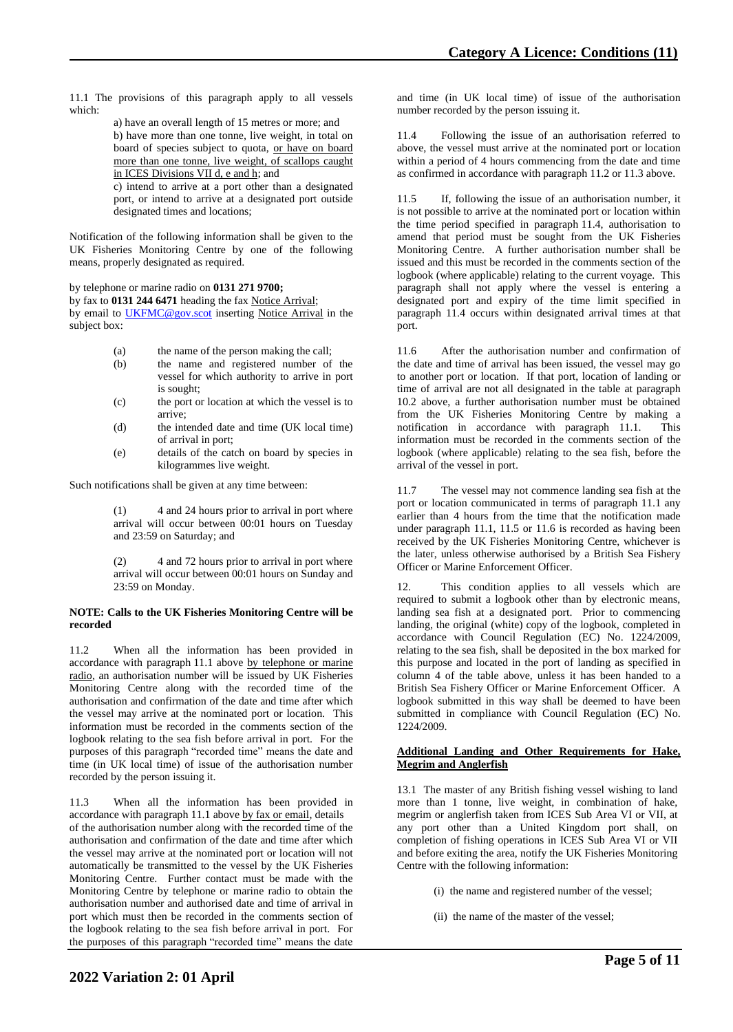11.1 The provisions of this paragraph apply to all vessels which:

> a) have an overall length of 15 metres or more; and b) have more than one tonne, live weight, in total on board of species subject to quota, or have on board more than one tonne, live weight, of scallops caught in ICES Divisions VII d, e and h; and

> c) intend to arrive at a port other than a designated port, or intend to arrive at a designated port outside designated times and locations;

Notification of the following information shall be given to the UK Fisheries Monitoring Centre by one of the following means, properly designated as required.

by telephone or marine radio on **0131 271 9700;**

by fax to **0131 244 6471** heading the fax Notice Arrival; by email to [UKFMC@gov.scot](mailto:UKFMC@gov.scot) inserting Notice Arrival in the subject box:

(a) the name of the person making the call;

- (b) the name and registered number of the vessel for which authority to arrive in port is sought;
- (c) the port or location at which the vessel is to arrive;
- (d) the intended date and time (UK local time) of arrival in port;
- (e) details of the catch on board by species in kilogrammes live weight.

Such notifications shall be given at any time between:

(1) 4 and 24 hours prior to arrival in port where arrival will occur between 00:01 hours on Tuesday and 23:59 on Saturday; and

(2) 4 and 72 hours prior to arrival in port where arrival will occur between 00:01 hours on Sunday and 23:59 on Monday.

#### **NOTE: Calls to the UK Fisheries Monitoring Centre will be recorded**

11.2 When all the information has been provided in accordance with paragraph 11.1 above by telephone or marine radio, an authorisation number will be issued by UK Fisheries Monitoring Centre along with the recorded time of the authorisation and confirmation of the date and time after which the vessel may arrive at the nominated port or location. This information must be recorded in the comments section of the logbook relating to the sea fish before arrival in port. For the purposes of this paragraph "recorded time" means the date and time (in UK local time) of issue of the authorisation number recorded by the person issuing it.

11.3 When all the information has been provided in accordance with paragraph 11.1 above by fax or email, details of the authorisation number along with the recorded time of the authorisation and confirmation of the date and time after which the vessel may arrive at the nominated port or location will not automatically be transmitted to the vessel by the UK Fisheries Monitoring Centre. Further contact must be made with the Monitoring Centre by telephone or marine radio to obtain the authorisation number and authorised date and time of arrival in port which must then be recorded in the comments section of the logbook relating to the sea fish before arrival in port. For the purposes of this paragraph "recorded time" means the date

and time (in UK local time) of issue of the authorisation number recorded by the person issuing it.

11.4 Following the issue of an authorisation referred to above, the vessel must arrive at the nominated port or location within a period of 4 hours commencing from the date and time as confirmed in accordance with paragraph 11.2 or 11.3 above.

11.5 If, following the issue of an authorisation number, it is not possible to arrive at the nominated port or location within the time period specified in paragraph 11.4, authorisation to amend that period must be sought from the UK Fisheries Monitoring Centre. A further authorisation number shall be issued and this must be recorded in the comments section of the logbook (where applicable) relating to the current voyage. This paragraph shall not apply where the vessel is entering a designated port and expiry of the time limit specified in paragraph 11.4 occurs within designated arrival times at that port.

11.6 After the authorisation number and confirmation of the date and time of arrival has been issued, the vessel may go to another port or location. If that port, location of landing or time of arrival are not all designated in the table at paragraph 10.2 above, a further authorisation number must be obtained from the UK Fisheries Monitoring Centre by making a notification in accordance with paragraph  $11.1$ . information must be recorded in the comments section of the logbook (where applicable) relating to the sea fish, before the arrival of the vessel in port.

11.7 The vessel may not commence landing sea fish at the port or location communicated in terms of paragraph 11.1 any earlier than 4 hours from the time that the notification made under paragraph 11.1, 11.5 or 11.6 is recorded as having been received by the UK Fisheries Monitoring Centre, whichever is the later, unless otherwise authorised by a British Sea Fishery Officer or Marine Enforcement Officer.

12. This condition applies to all vessels which are required to submit a logbook other than by electronic means, landing sea fish at a designated port. Prior to commencing landing, the original (white) copy of the logbook, completed in accordance with Council Regulation (EC) No. 1224/2009, relating to the sea fish, shall be deposited in the box marked for this purpose and located in the port of landing as specified in column 4 of the table above, unless it has been handed to a British Sea Fishery Officer or Marine Enforcement Officer. A logbook submitted in this way shall be deemed to have been submitted in compliance with Council Regulation (EC) No. 1224/2009.

#### **Additional Landing and Other Requirements for Hake, Megrim and Anglerfish**

13.1 The master of any British fishing vessel wishing to land more than 1 tonne, live weight, in combination of hake, megrim or anglerfish taken from ICES Sub Area VI or VII, at any port other than a United Kingdom port shall, on completion of fishing operations in ICES Sub Area VI or VII and before exiting the area, notify the UK Fisheries Monitoring Centre with the following information:

(i) the name and registered number of the vessel;

(ii) the name of the master of the vessel;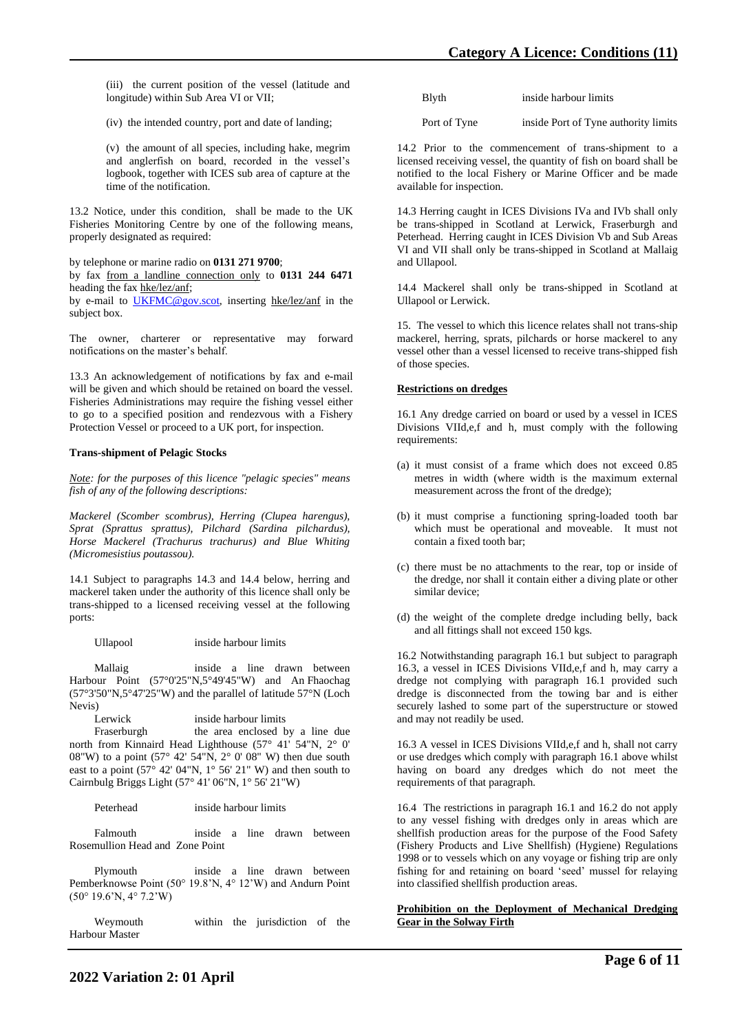(iii) the current position of the vessel (latitude and longitude) within Sub Area VI or VII;

(iv) the intended country, port and date of landing;

(v) the amount of all species, including hake, megrim and anglerfish on board, recorded in the vessel's logbook, together with ICES sub area of capture at the time of the notification.

13.2 Notice, under this condition, shall be made to the UK Fisheries Monitoring Centre by one of the following means, properly designated as required:

by telephone or marine radio on **0131 271 9700**;

by fax from a landline connection only to **0131 244 6471** heading the fax hke/lez/anf;

by e-mail to [UKFMC@gov.scot,](mailto:UKFMC@gov.scot) inserting hke/lez/anf in the subject box.

The owner, charterer or representative may forward notifications on the master's behalf.

13.3 An acknowledgement of notifications by fax and e-mail will be given and which should be retained on board the vessel. Fisheries Administrations may require the fishing vessel either to go to a specified position and rendezvous with a Fishery Protection Vessel or proceed to a UK port, for inspection.

### **Trans-shipment of Pelagic Stocks**

*Note: for the purposes of this licence "pelagic species" means fish of any of the following descriptions:* 

*Mackerel (Scomber scombrus), Herring (Clupea harengus), Sprat (Sprattus sprattus), Pilchard (Sardina pilchardus), Horse Mackerel (Trachurus trachurus) and Blue Whiting (Micromesistius poutassou).*

14.1 Subject to paragraphs 14.3 and 14.4 below, herring and mackerel taken under the authority of this licence shall only be trans-shipped to a licensed receiving vessel at the following ports:

Ullapool inside harbour limits

 Mallaig inside a line drawn between Harbour Point (57°0'25"N,5°49'45"W) and An Fhaochag (57°3'50"N,5°47'25"W) and the parallel of latitude 57°N (Loch Nevis)

Lerwick inside harbour limits Fraserburgh the area enclosed by a line due north from Kinnaird Head Lighthouse (57° 41' 54"N, 2° 0' 08"W) to a point  $(57^{\circ} 42' 54"N, 2^{\circ} 0' 08" W)$  then due south east to a point  $(57^\circ 42' 04''N, 1^\circ 56' 21'' W)$  and then south to Cairnbulg Briggs Light (57° 41' 06"N, 1° 56' 21"W)

Peterhead inside harbour limits

 Falmouth inside a line drawn between Rosemullion Head and Zone Point

 Plymouth inside a line drawn between Pemberknowse Point (50° 19.8'N, 4° 12'W) and Andurn Point (50° 19.6'N, 4° 7.2'W)

 Weymouth within the jurisdiction of the Harbour Master

| <b>B</b> lyth | inside harbour limits |  |
|---------------|-----------------------|--|
|               |                       |  |

Port of Tyne inside Port of Tyne authority limits

14.2 Prior to the commencement of trans-shipment to a licensed receiving vessel, the quantity of fish on board shall be notified to the local Fishery or Marine Officer and be made available for inspection.

14.3 Herring caught in ICES Divisions IVa and IVb shall only be trans-shipped in Scotland at Lerwick, Fraserburgh and Peterhead. Herring caught in ICES Division Vb and Sub Areas VI and VII shall only be trans-shipped in Scotland at Mallaig and Ullapool.

14.4 Mackerel shall only be trans-shipped in Scotland at Ullapool or Lerwick.

15. The vessel to which this licence relates shall not trans-ship mackerel, herring, sprats, pilchards or horse mackerel to any vessel other than a vessel licensed to receive trans-shipped fish of those species.

### **Restrictions on dredges**

16.1 Any dredge carried on board or used by a vessel in ICES Divisions VIId,e,f and h, must comply with the following requirements:

- (a) it must consist of a frame which does not exceed 0.85 metres in width (where width is the maximum external measurement across the front of the dredge);
- (b) it must comprise a functioning spring-loaded tooth bar which must be operational and moveable. It must not contain a fixed tooth bar;
- (c) there must be no attachments to the rear, top or inside of the dredge, nor shall it contain either a diving plate or other similar device;
- (d) the weight of the complete dredge including belly, back and all fittings shall not exceed 150 kgs.

16.2 Notwithstanding paragraph 16.1 but subject to paragraph 16.3, a vessel in ICES Divisions VIId,e,f and h, may carry a dredge not complying with paragraph 16.1 provided such dredge is disconnected from the towing bar and is either securely lashed to some part of the superstructure or stowed and may not readily be used.

16.3 A vessel in ICES Divisions VIId,e,f and h, shall not carry or use dredges which comply with paragraph 16.1 above whilst having on board any dredges which do not meet the requirements of that paragraph.

16.4 The restrictions in paragraph 16.1 and 16.2 do not apply to any vessel fishing with dredges only in areas which are shellfish production areas for the purpose of the Food Safety (Fishery Products and Live Shellfish) (Hygiene) Regulations 1998 or to vessels which on any voyage or fishing trip are only fishing for and retaining on board 'seed' mussel for relaying into classified shellfish production areas.

### **Prohibition on the Deployment of Mechanical Dredging Gear in the Solway Firth**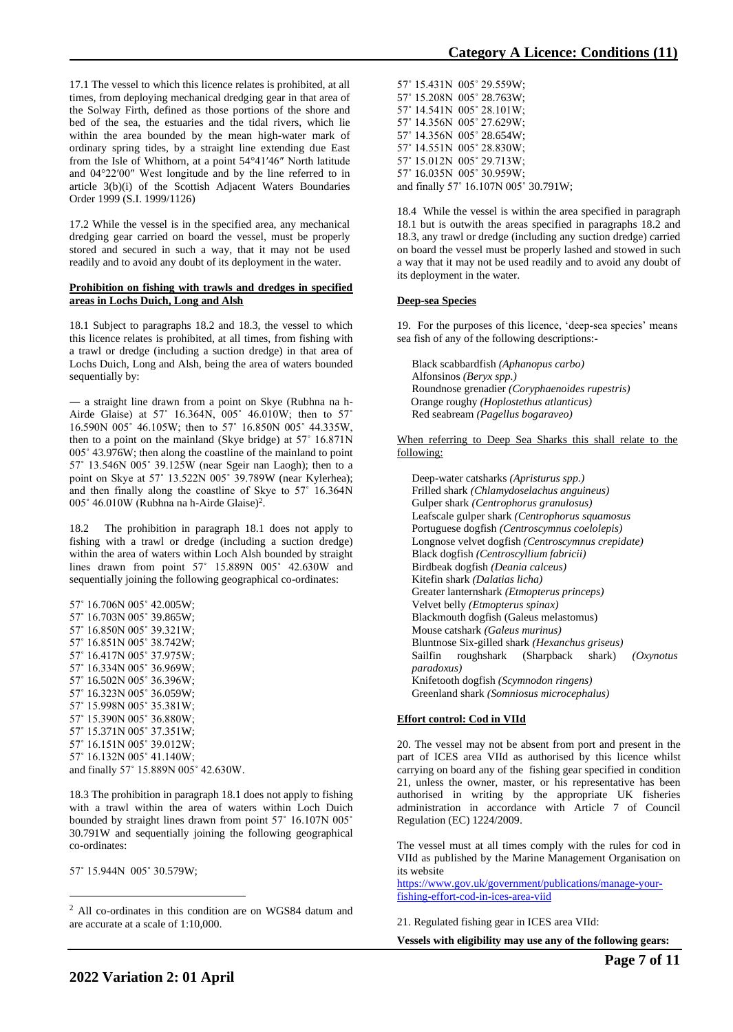17.1 The vessel to which this licence relates is prohibited, at all times, from deploying mechanical dredging gear in that area of the Solway Firth, defined as those portions of the shore and bed of the sea, the estuaries and the tidal rivers, which lie within the area bounded by the mean high-water mark of ordinary spring tides, by a straight line extending due East from the Isle of Whithorn, at a point 54°41′46″ North latitude and 04°22′00″ West longitude and by the line referred to in article 3(b)(i) of the Scottish Adjacent Waters Boundaries Order 1999 (S.I. 1999/1126)

17.2 While the vessel is in the specified area, any mechanical dredging gear carried on board the vessel, must be properly stored and secured in such a way, that it may not be used readily and to avoid any doubt of its deployment in the water.

### **Prohibition on fishing with trawls and dredges in specified areas in Lochs Duich, Long and Alsh**

18.1 Subject to paragraphs 18.2 and 18.3, the vessel to which this licence relates is prohibited, at all times, from fishing with a trawl or dredge (including a suction dredge) in that area of Lochs Duich, Long and Alsh, being the area of waters bounded sequentially by:

― a straight line drawn from a point on Skye (Rubhna na h-Airde Glaise) at 57˚ 16.364N, 005˚ 46.010W; then to 57˚ 16.590N 005˚ 46.105W; then to 57˚ 16.850N 005˚ 44.335W, then to a point on the mainland (Skye bridge) at 57˚ 16.871N 005˚ 43.976W; then along the coastline of the mainland to point 57˚ 13.546N 005˚ 39.125W (near Sgeir nan Laogh); then to a point on Skye at 57˚ 13.522N 005˚ 39.789W (near Kylerhea); and then finally along the coastline of Skye to 57˚ 16.364N 005° 46.010W (Rubhna na h-Airde Glaise)<sup>2</sup>.

18.2 The prohibition in paragraph 18.1 does not apply to fishing with a trawl or dredge (including a suction dredge) within the area of waters within Loch Alsh bounded by straight lines drawn from point 57˚ 15.889N 005˚ 42.630W and sequentially joining the following geographical co-ordinates:

57˚ 16.706N 005˚ 42.005W; 57˚ 16.703N 005˚ 39.865W; 57˚ 16.850N 005˚ 39.321W; 57˚ 16.851N 005˚ 38.742W; 57˚ 16.417N 005˚ 37.975W; 57˚ 16.334N 005˚ 36.969W; 57˚ 16.502N 005˚ 36.396W; 57˚ 16.323N 005˚ 36.059W; 57˚ 15.998N 005˚ 35.381W; 57˚ 15.390N 005˚ 36.880W; 57˚ 15.371N 005˚ 37.351W; 57˚ 16.151N 005˚ 39.012W; 57˚ 16.132N 005˚ 41.140W; and finally 57˚ 15.889N 005˚ 42.630W.

18.3 The prohibition in paragraph 18.1 does not apply to fishing with a trawl within the area of waters within Loch Duich bounded by straight lines drawn from point 57˚ 16.107N 005˚ 30.791W and sequentially joining the following geographical co-ordinates:

57˚ 15.944N 005˚ 30.579W;

<sup>2</sup> All co-ordinates in this condition are on WGS84 datum and are accurate at a scale of 1:10,000.

57˚ 15.431N 005˚ 29.559W; 57˚ 15.208N 005˚ 28.763W; 57˚ 14.541N 005˚ 28.101W; 57˚ 14.356N 005˚ 27.629W; 57˚ 14.356N 005˚ 28.654W; 57˚ 14.551N 005˚ 28.830W; 57˚ 15.012N 005˚ 29.713W; 57˚ 16.035N 005˚ 30.959W; and finally 57˚ 16.107N 005˚ 30.791W;

18.4 While the vessel is within the area specified in paragraph 18.1 but is outwith the areas specified in paragraphs 18.2 and 18.3, any trawl or dredge (including any suction dredge) carried on board the vessel must be properly lashed and stowed in such a way that it may not be used readily and to avoid any doubt of its deployment in the water.

### **Deep-sea Species**

19. For the purposes of this licence, 'deep-sea species' means sea fish of any of the following descriptions:-

Black scabbardfish *(Aphanopus carbo)* Alfonsinos *(Beryx spp.)* Roundnose grenadier *(Coryphaenoides rupestris)* Orange roughy *(Hoplostethus atlanticus)* Red seabream *(Pagellus bogaraveo)*

When referring to Deep Sea Sharks this shall relate to the following:

Deep-water catsharks *(Apristurus spp.)* Frilled shark *(Chlamydoselachus anguineus)* Gulper shark *(Centrophorus granulosus)* Leafscale gulper shark *(Centrophorus squamosus* Portuguese dogfish *(Centroscymnus coelolepis)* Longnose velvet dogfish *(Centroscymnus crepidate)* Black dogfish *(Centroscyllium fabricii)* Birdbeak dogfish *(Deania calceus)* Kitefin shark *(Dalatias licha)* Greater lanternshark *(Etmopterus princeps)* Velvet belly *(Etmopterus spinax)* Blackmouth dogfish (Galeus melastomus) Mouse catshark *(Galeus murinus)* Bluntnose Six-gilled shark *(Hexanchus griseus)* Sailfin roughshark (Sharpback shark) *(Oxynotus paradoxus)* Knifetooth dogfish *(Scymnodon ringens)* Greenland shark *(Somniosus microcephalus)*

# **Effort control: Cod in VIId**

20. The vessel may not be absent from port and present in the part of ICES area VIId as authorised by this licence whilst carrying on board any of the fishing gear specified in condition 21, unless the owner, master, or his representative has been authorised in writing by the appropriate UK fisheries administration in accordance with Article 7 of Council Regulation (EC) 1224/2009.

The vessel must at all times comply with the rules for cod in VIId as published by the Marine Management Organisation on its website

[https://www.gov.uk/government/publications/manage-your](https://www.gov.uk/government/publications/manage-your-fishing-effort-cod-in-ices-area-viid)[fishing-effort-cod-in-ices-area-viid](https://www.gov.uk/government/publications/manage-your-fishing-effort-cod-in-ices-area-viid)

21. Regulated fishing gear in ICES area VIId:

**Vessels with eligibility may use any of the following gears:**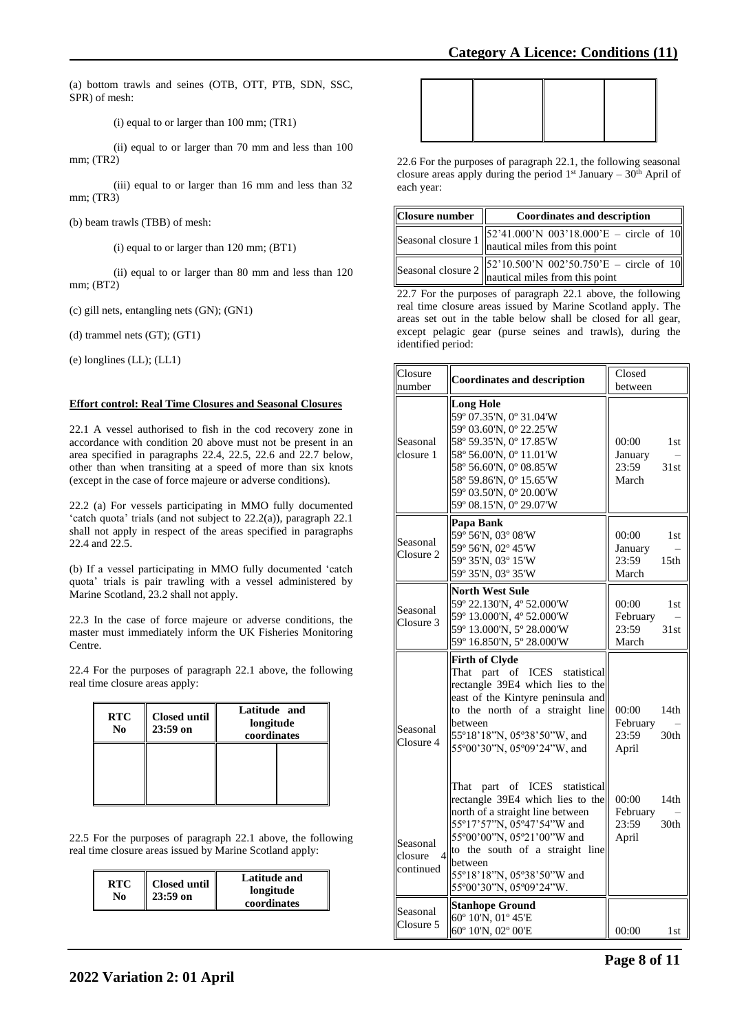(a) bottom trawls and seines (OTB, OTT, PTB, SDN, SSC, SPR) of mesh:

(i) equal to or larger than 100 mm; (TR1)

(ii) equal to or larger than 70 mm and less than 100 mm; (TR2)

(iii) equal to or larger than 16 mm and less than 32 mm; (TR3)

(b) beam trawls (TBB) of mesh:

(i) equal to or larger than 120 mm; (BT1)

(ii) equal to or larger than 80 mm and less than 120 mm; (BT2)

(c) gill nets, entangling nets (GN); (GN1)

(d) trammel nets (GT); (GT1)

(e) longlines (LL); (LL1)

### **Effort control: Real Time Closures and Seasonal Closures**

22.1 A vessel authorised to fish in the cod recovery zone in accordance with condition 20 above must not be present in an area specified in paragraphs 22.4, 22.5, 22.6 and 22.7 below, other than when transiting at a speed of more than six knots (except in the case of force majeure or adverse conditions).

22.2 (a) For vessels participating in MMO fully documented 'catch quota' trials (and not subject to 22.2(a)), paragraph 22.1 shall not apply in respect of the areas specified in paragraphs 22.4 and 22.5.

(b) If a vessel participating in MMO fully documented 'catch quota' trials is pair trawling with a vessel administered by Marine Scotland, 23.2 shall not apply.

22.3 In the case of force majeure or adverse conditions, the master must immediately inform the UK Fisheries Monitoring Centre.

22.4 For the purposes of paragraph 22.1 above, the following real time closure areas apply:

| <b>RTC</b><br>N <sub>0</sub> | <b>Closed until</b><br>$23:59$ on | Latitude and<br>longitude<br>coordinates |  |
|------------------------------|-----------------------------------|------------------------------------------|--|
|                              |                                   |                                          |  |

22.5 For the purposes of paragraph 22.1 above, the following real time closure areas issued by Marine Scotland apply:

| <b>RTC</b><br>No | Closed until<br>$23:59$ on | Latitude and<br>longitude<br>coordinates |
|------------------|----------------------------|------------------------------------------|
|------------------|----------------------------|------------------------------------------|

22.6 For the purposes of paragraph 22.1, the following seasonal closure areas apply during the period  $1<sup>st</sup>$  January –  $30<sup>th</sup>$  April of each year:

| Closure number | <b>Coordinates and description</b>                                                                                             |
|----------------|--------------------------------------------------------------------------------------------------------------------------------|
|                | Seasonal closure $1 \begin{vmatrix} 52'41.000'N & 003'18.000'E - circle of 10 \\ nautical miles from this point \end{vmatrix}$ |
|                | Seasonal closure $2 \begin{vmatrix} 52'10.500'N & 002'50.750'E - circle & 10 \\ nautical miles from this point \end{vmatrix}$  |

22.7 For the purposes of paragraph 22.1 above, the following real time closure areas issued by Marine Scotland apply. The areas set out in the table below shall be closed for all gear, except pelagic gear (purse seines and trawls), during the identified period:

| Closure<br>number                      | <b>Coordinates and description</b>                                                                                                                                                                                                                                                                                 | Closed<br>between                                                          |                                                      |
|----------------------------------------|--------------------------------------------------------------------------------------------------------------------------------------------------------------------------------------------------------------------------------------------------------------------------------------------------------------------|----------------------------------------------------------------------------|------------------------------------------------------|
| Seasonal<br>closure 1                  | <b>Long Hole</b><br>59° 07.35'N, 0° 31.04'W<br>59° 03.60'N, 0° 22.25'W<br>58° 59.35'N, 0° 17.85'W<br>58° 56.00'N, 0° 11.01'W<br>58° 56.60'N, 0° 08.85'W<br>58° 59.86'N, 0° 15.65'W<br>59° 03.50'N, 0° 20.00'W<br>59° 08.15'N, 0° 29.07'W                                                                           | 00:00<br>January<br>23:59<br>March                                         | 1st<br>31st                                          |
| Seasonal<br>Closure 2                  | Papa Bank<br>59° 56'N, 03° 08'W<br>59° 56'N, 02° 45'W<br>59° 35'N, 03° 15'W<br>59° 35'N, 03° 35'W                                                                                                                                                                                                                  | 00:00<br>January<br>23:59<br>March                                         | 1st<br>15 <sub>th</sub>                              |
| Seasonal<br>Closure 3                  | <b>North West Sule</b><br>59° 22.130'N, 4° 52.000'W<br>59° 13.000'N, 4° 52.000'W<br>59° 13.000'N, 5° 28.000'W<br>59° 16.850'N, 5° 28.000'W                                                                                                                                                                         | 00:00<br>February<br>23:59<br>March                                        | 1st<br>31st                                          |
|                                        | <b>Firth of Clyde</b><br>ICES statistical<br>That<br>part of<br>rectangle 39E4 which lies to the                                                                                                                                                                                                                   |                                                                            |                                                      |
| Seasonal<br>Closure 4<br>Seasonal      | east of the Kintyre peninsula and<br>to the north of a straight line<br>between<br>55°18'18"N, 05°38'50"W, and<br>55°00'30"N, 05°09'24"W, and<br>That part of ICES statistical<br>rectangle 39E4 which lies to the<br>north of a straight line between<br>55°17'57"N, 05°47'54"W and<br>55°00'00"N, 05°21'00"W and | 00:00<br>February<br>23:59<br>April<br>00:00<br>February<br>23:59<br>April | 14 <sub>th</sub><br>30 <sub>th</sub><br>14th<br>30th |
| closure<br>$\overline{4}$<br>continued | to the south of a straight line<br>between<br>55°18'18"N, 05°38'50"W and<br>55°00'30"N, 05°09'24"W.<br><b>Stanhope Ground</b>                                                                                                                                                                                      |                                                                            |                                                      |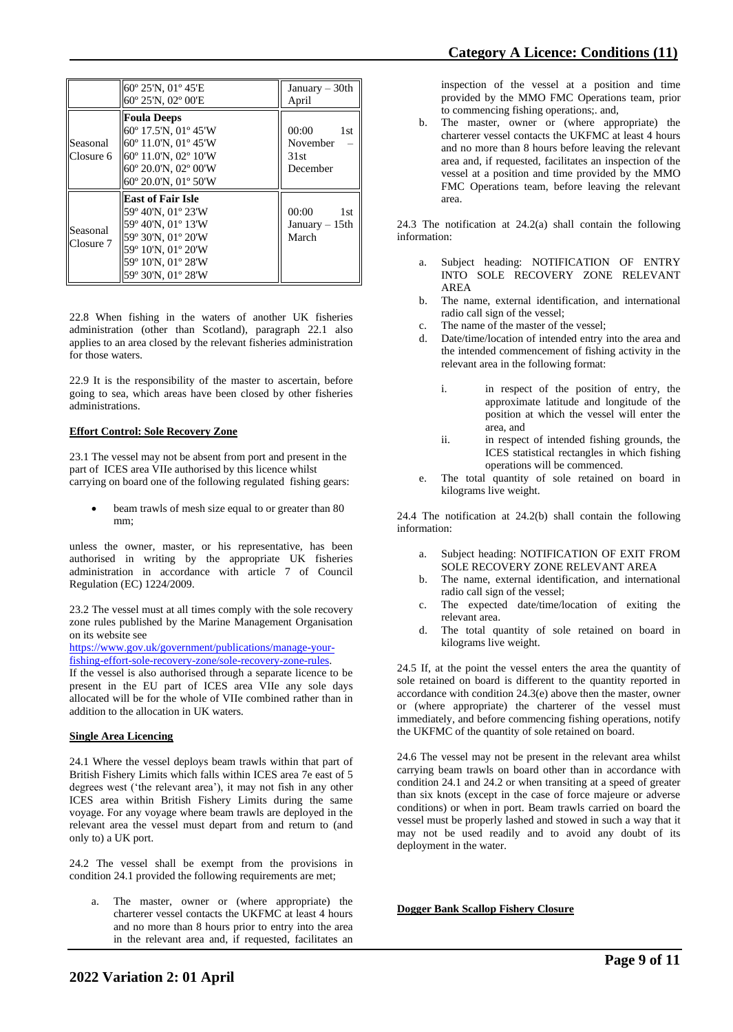|                       | 60° 25'N, 01° 45'E<br>60° 25'N, 02° 00'E                                                                                                                     | January - 30th<br>April                      |
|-----------------------|--------------------------------------------------------------------------------------------------------------------------------------------------------------|----------------------------------------------|
| Seasonal<br>Closure 6 | <b>Foula Deeps</b><br>60° 17.5'N, 01° 45'W<br>60° 11.0'N, 01° 45'W<br>60° 11.0'N, 02° 10'W<br>60° 20.0'N, 02° 00'W<br>60° 20.0'N, 01° 50'W                   | 00:00<br>1st<br>November<br>31st<br>December |
| Seasonal<br>Closure 7 | <b>East of Fair Isle</b><br>59° 40'N, 01° 23'W<br>59° 40'N, 01° 13'W<br>59° 30'N, 01° 20'W<br>59° 10'N, 01° 20'W<br>59° 10'N, 01° 28'W<br>59° 30'N, 01° 28'W | 00:00<br>1st<br>January $-15$ th<br>March    |

22.8 When fishing in the waters of another UK fisheries administration (other than Scotland), paragraph 22.1 also applies to an area closed by the relevant fisheries administration for those waters.

22.9 It is the responsibility of the master to ascertain, before going to sea, which areas have been closed by other fisheries administrations.

### **Effort Control: Sole Recovery Zone**

23.1 The vessel may not be absent from port and present in the part of ICES area VIIe authorised by this licence whilst carrying on board one of the following regulated fishing gears:

beam trawls of mesh size equal to or greater than 80 mm;

unless the owner, master, or his representative, has been authorised in writing by the appropriate UK fisheries administration in accordance with article 7 of Council Regulation (EC) 1224/2009.

23.2 The vessel must at all times comply with the sole recovery zone rules published by the Marine Management Organisation on its website see

[https://www.gov.uk/government/publications/manage-your](https://www.gov.uk/government/publications/manage-your-fishing-effort-sole-recovery-zone/sole-recovery-zone-rules)[fishing-effort-sole-recovery-zone/sole-recovery-zone-rules.](https://www.gov.uk/government/publications/manage-your-fishing-effort-sole-recovery-zone/sole-recovery-zone-rules)

If the vessel is also authorised through a separate licence to be present in the EU part of ICES area VIIe any sole days allocated will be for the whole of VIIe combined rather than in addition to the allocation in UK waters.

### **Single Area Licencing**

24.1 Where the vessel deploys beam trawls within that part of British Fishery Limits which falls within ICES area 7e east of 5 degrees west ('the relevant area'), it may not fish in any other ICES area within British Fishery Limits during the same voyage. For any voyage where beam trawls are deployed in the relevant area the vessel must depart from and return to (and only to) a UK port.

24.2 The vessel shall be exempt from the provisions in condition 24.1 provided the following requirements are met;

a. The master, owner or (where appropriate) the charterer vessel contacts the UKFMC at least 4 hours and no more than 8 hours prior to entry into the area in the relevant area and, if requested, facilitates an

inspection of the vessel at a position and time provided by the MMO FMC Operations team, prior to commencing fishing operations;. and,

b. The master, owner or (where appropriate) the charterer vessel contacts the UKFMC at least 4 hours and no more than 8 hours before leaving the relevant area and, if requested, facilitates an inspection of the vessel at a position and time provided by the MMO FMC Operations team, before leaving the relevant area.

24.3 The notification at 24.2(a) shall contain the following information:

- a. Subject heading: NOTIFICATION OF ENTRY INTO SOLE RECOVERY ZONE RELEVANT AREA
- b. The name, external identification, and international radio call sign of the vessel;
- c. The name of the master of the vessel;
- d. Date/time/location of intended entry into the area and the intended commencement of fishing activity in the relevant area in the following format:
	- i. in respect of the position of entry, the approximate latitude and longitude of the position at which the vessel will enter the area, and
	- ii. in respect of intended fishing grounds, the ICES statistical rectangles in which fishing operations will be commenced.
- e. The total quantity of sole retained on board in kilograms live weight.

24.4 The notification at 24.2(b) shall contain the following information:

- Subject heading: NOTIFICATION OF EXIT FROM SOLE RECOVERY ZONE RELEVANT AREA
- b. The name, external identification, and international radio call sign of the vessel;
- c. The expected date/time/location of exiting the relevant area.
- d. The total quantity of sole retained on board in kilograms live weight.

24.5 If, at the point the vessel enters the area the quantity of sole retained on board is different to the quantity reported in accordance with condition 24.3(e) above then the master, owner or (where appropriate) the charterer of the vessel must immediately, and before commencing fishing operations, notify the UKFMC of the quantity of sole retained on board.

24.6 The vessel may not be present in the relevant area whilst carrying beam trawls on board other than in accordance with condition 24.1 and 24.2 or when transiting at a speed of greater than six knots (except in the case of force majeure or adverse conditions) or when in port. Beam trawls carried on board the vessel must be properly lashed and stowed in such a way that it may not be used readily and to avoid any doubt of its deployment in the water.

**Dogger Bank Scallop Fishery Closure**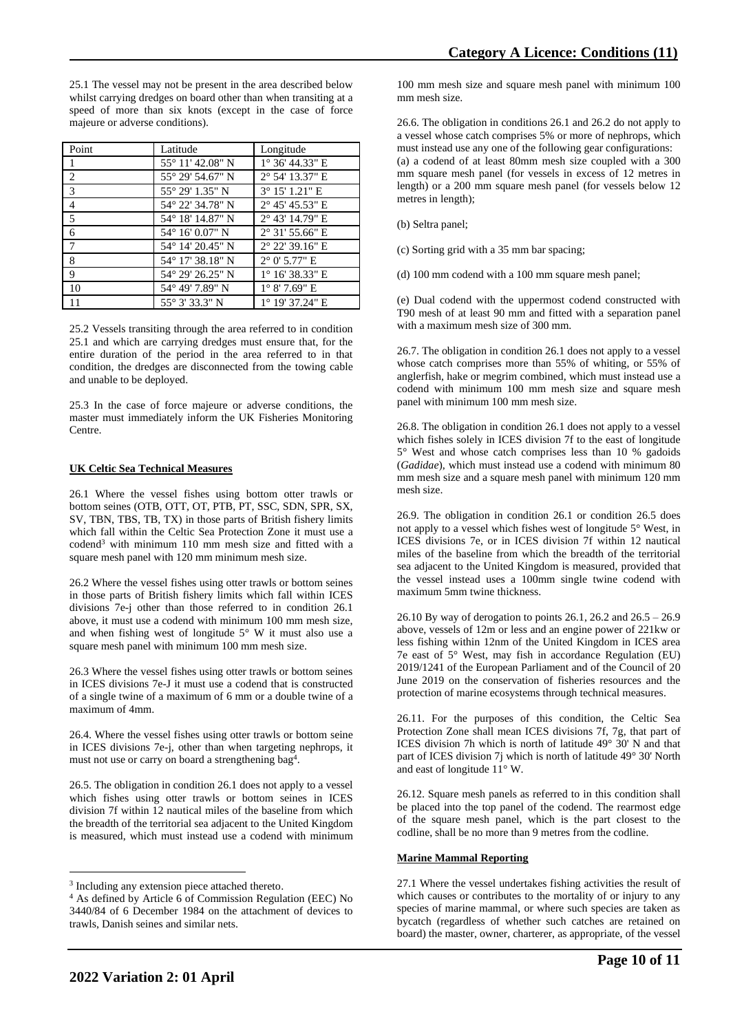| Point          | Latitude                  | Longitude                |
|----------------|---------------------------|--------------------------|
| $\mathbf{1}$   | 55° 11′ 42.08″ N          | $1^{\circ}$ 36' 44.33" E |
| 2              | $55^{\circ}$ 29' 54.67" N | 2° 54' 13.37" E          |
| $\overline{3}$ | 55° 29′ 1.35″ N           | 3° 15' 1.21" E           |
| $\overline{4}$ | 54° 22′ 34.78″ N          | $2^{\circ}$ 45' 45.53" E |
| $\overline{5}$ | 54° 18′ 14.87″ N          | $2^{\circ}$ 43' 14.79" E |
| $\sqrt{6}$     | 54° 16′ 0.07" N           | $2^{\circ}$ 31' 55.66" E |
| $\overline{7}$ | 54° 14′ 20.45″ N          | $2^{\circ}$ 22' 39.16" E |
| 8              | 54° 17′ 38.18″ N          | $2^{\circ}$ 0' 5.77" E   |
| 9              | 54° 29′ 26.25″ N          | $1^{\circ}$ 16' 38.33" E |
| 10             | 54° 49' 7.89" N           | $1^{\circ}$ 8' 7.69" E   |
| 11             | 55° 3′ 33.3″ N            | $1^{\circ}$ 19' 37.24" E |

25.2 Vessels transiting through the area referred to in condition 25.1 and which are carrying dredges must ensure that, for the entire duration of the period in the area referred to in that condition, the dredges are disconnected from the towing cable and unable to be deployed.

25.3 In the case of force majeure or adverse conditions, the master must immediately inform the UK Fisheries Monitoring Centre.

### **UK Celtic Sea Technical Measures**

26.1 Where the vessel fishes using bottom otter trawls or bottom seines (OTB, OTT, OT, PTB, PT, SSC, SDN, SPR, SX, SV, TBN, TBS, TB, TX) in those parts of British fishery limits which fall within the Celtic Sea Protection Zone it must use a codend<sup>3</sup> with minimum 110 mm mesh size and fitted with a square mesh panel with 120 mm minimum mesh size.

26.2 Where the vessel fishes using otter trawls or bottom seines in those parts of British fishery limits which fall within ICES divisions 7e-j other than those referred to in condition 26.1 above, it must use a codend with minimum 100 mm mesh size, and when fishing west of longitude 5° W it must also use a square mesh panel with minimum 100 mm mesh size.

26.3 Where the vessel fishes using otter trawls or bottom seines in ICES divisions 7e-J it must use a codend that is constructed of a single twine of a maximum of 6 mm or a double twine of a maximum of 4mm.

26.4. Where the vessel fishes using otter trawls or bottom seine in ICES divisions 7e-j, other than when targeting nephrops, it must not use or carry on board a strengthening bag<sup>4</sup>.

26.5. The obligation in condition 26.1 does not apply to a vessel which fishes using otter trawls or bottom seines in ICES division 7f within 12 nautical miles of the baseline from which the breadth of the territorial sea adjacent to the United Kingdom is measured, which must instead use a codend with minimum

100 mm mesh size and square mesh panel with minimum 100 mm mesh size.

26.6. The obligation in conditions 26.1 and 26.2 do not apply to a vessel whose catch comprises 5% or more of nephrops, which must instead use any one of the following gear configurations: (a) a codend of at least 80mm mesh size coupled with a 300 mm square mesh panel (for vessels in excess of 12 metres in length) or a 200 mm square mesh panel (for vessels below 12 metres in length);

(b) Seltra panel;

(c) Sorting grid with a 35 mm bar spacing;

(d) 100 mm codend with a 100 mm square mesh panel;

(e) Dual codend with the uppermost codend constructed with T90 mesh of at least 90 mm and fitted with a separation panel with a maximum mesh size of 300 mm.

26.7. The obligation in condition 26.1 does not apply to a vessel whose catch comprises more than 55% of whiting, or 55% of anglerfish, hake or megrim combined, which must instead use a codend with minimum 100 mm mesh size and square mesh panel with minimum 100 mm mesh size.

26.8. The obligation in condition 26.1 does not apply to a vessel which fishes solely in ICES division 7f to the east of longitude 5° West and whose catch comprises less than 10 % gadoids (*Gadidae*), which must instead use a codend with minimum 80 mm mesh size and a square mesh panel with minimum 120 mm mesh size.

26.9. The obligation in condition 26.1 or condition 26.5 does not apply to a vessel which fishes west of longitude 5° West, in ICES divisions 7e, or in ICES division 7f within 12 nautical miles of the baseline from which the breadth of the territorial sea adjacent to the United Kingdom is measured, provided that the vessel instead uses a 100mm single twine codend with maximum 5mm twine thickness.

26.10 By way of derogation to points 26.1, 26.2 and 26.5 – 26.9 above, vessels of 12m or less and an engine power of 221kw or less fishing within 12nm of the United Kingdom in ICES area 7e east of 5° West, may fish in accordance Regulation (EU) 2019/1241 of the European Parliament and of the Council of 20 June 2019 on the conservation of fisheries resources and the protection of marine ecosystems through technical measures.

26.11. For the purposes of this condition, the Celtic Sea Protection Zone shall mean ICES divisions 7f, 7g, that part of ICES division 7h which is north of latitude 49° 30' N and that part of ICES division 7j which is north of latitude 49° 30' North and east of longitude 11° W.

26.12. Square mesh panels as referred to in this condition shall be placed into the top panel of the codend. The rearmost edge of the square mesh panel, which is the part closest to the codline, shall be no more than 9 metres from the codline.

### **Marine Mammal Reporting**

27.1 Where the vessel undertakes fishing activities the result of which causes or contributes to the mortality of or injury to any species of marine mammal, or where such species are taken as bycatch (regardless of whether such catches are retained on board) the master, owner, charterer, as appropriate, of the vessel

<sup>&</sup>lt;sup>3</sup> Including any extension piece attached thereto.

<sup>4</sup> As defined by Article 6 of Commission Regulation (EEC) No 3440/84 of 6 December 1984 on the attachment of devices to trawls, Danish seines and similar nets.